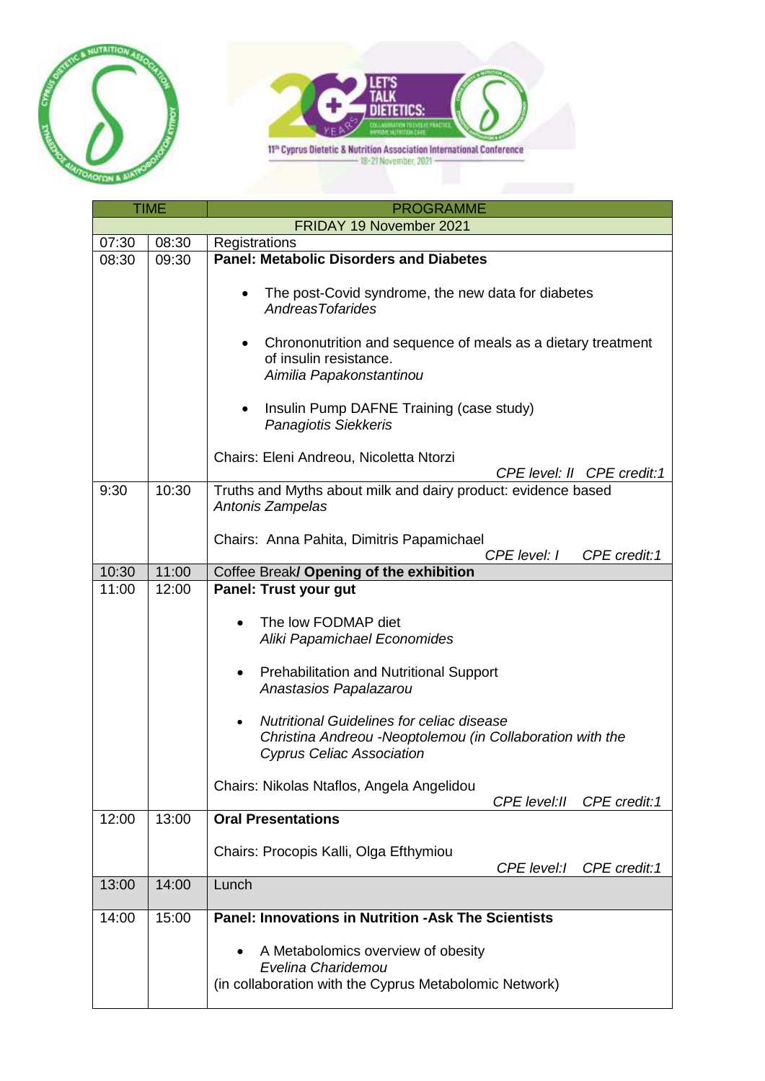



| <b>TIME</b> |       | <b>PROGRAMME</b>                                                                                                                     |
|-------------|-------|--------------------------------------------------------------------------------------------------------------------------------------|
|             |       | FRIDAY 19 November 2021                                                                                                              |
| 07:30       | 08:30 | Registrations                                                                                                                        |
| 08:30       | 09:30 | <b>Panel: Metabolic Disorders and Diabetes</b>                                                                                       |
|             |       | The post-Covid syndrome, the new data for diabetes<br><b>AndreasTofarides</b>                                                        |
|             |       | Chrononutrition and sequence of meals as a dietary treatment<br>of insulin resistance.<br>Aimilia Papakonstantinou                   |
|             |       | Insulin Pump DAFNE Training (case study)<br>Panagiotis Siekkeris                                                                     |
|             |       | Chairs: Eleni Andreou, Nicoletta Ntorzi<br>CPE level: II CPE credit:1                                                                |
| 9:30        | 10:30 | Truths and Myths about milk and dairy product: evidence based<br>Antonis Zampelas                                                    |
|             |       | Chairs: Anna Pahita, Dimitris Papamichael<br>CPE level: I<br>CPE credit:1                                                            |
| 10:30       | 11:00 | Coffee Break/ Opening of the exhibition                                                                                              |
| 11:00       | 12:00 | Panel: Trust your gut                                                                                                                |
|             |       | The low FODMAP diet<br>Aliki Papamichael Economides<br><b>Prehabilitation and Nutritional Support</b><br>٠<br>Anastasios Papalazarou |
|             |       | <b>Nutritional Guidelines for celiac disease</b><br>$\bullet$<br>Christina Andreou -Neoptolemou (in Collaboration with the           |
|             |       | <b>Cyprus Celiac Association</b>                                                                                                     |
|             |       | Chairs: Nikolas Ntaflos, Angela Angelidou<br>CPE level: II<br>CPE credit:1                                                           |
| 12:00       | 13:00 | <b>Oral Presentations</b>                                                                                                            |
|             |       | Chairs: Procopis Kalli, Olga Efthymiou<br>CPE level:/<br>CPE credit:1                                                                |
| 13:00       | 14:00 | Lunch                                                                                                                                |
| 14:00       | 15:00 | <b>Panel: Innovations in Nutrition -Ask The Scientists</b>                                                                           |
|             |       | A Metabolomics overview of obesity<br>Evelina Charidemou<br>(in collaboration with the Cyprus Metabolomic Network)                   |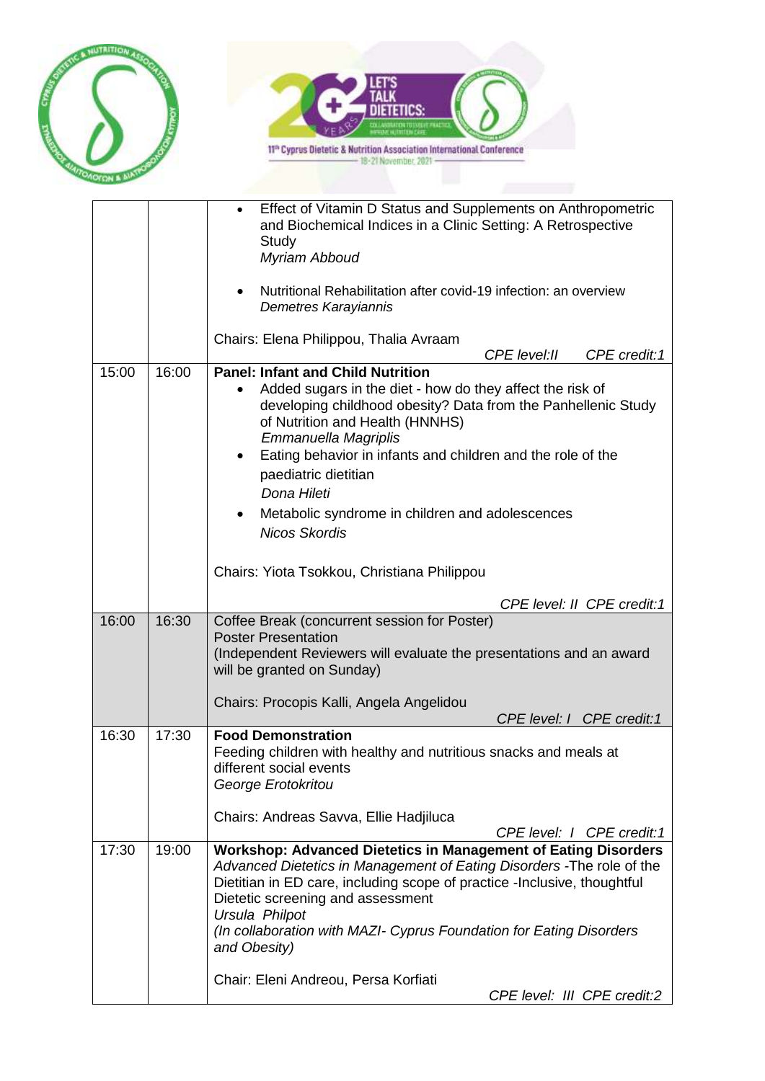



|       |       | Effect of Vitamin D Status and Supplements on Anthropometric<br>and Biochemical Indices in a Clinic Setting: A Retrospective<br>Study<br>Myriam Abboud<br>Nutritional Rehabilitation after covid-19 infection: an overview<br>Demetres Karayiannis<br>Chairs: Elena Philippou, Thalia Avraam                                                                                                                                                      |
|-------|-------|---------------------------------------------------------------------------------------------------------------------------------------------------------------------------------------------------------------------------------------------------------------------------------------------------------------------------------------------------------------------------------------------------------------------------------------------------|
| 15:00 | 16:00 | CPE level: II<br>CPE credit:1<br><b>Panel: Infant and Child Nutrition</b>                                                                                                                                                                                                                                                                                                                                                                         |
|       |       | Added sugars in the diet - how do they affect the risk of<br>developing childhood obesity? Data from the Panhellenic Study<br>of Nutrition and Health (HNNHS)<br>Emmanuella Magriplis<br>Eating behavior in infants and children and the role of the<br>$\bullet$<br>paediatric dietitian<br>Dona Hileti<br>Metabolic syndrome in children and adolescences<br><b>Nicos Skordis</b><br>Chairs: Yiota Tsokkou, Christiana Philippou                |
|       |       | CPE level: II CPE credit:1                                                                                                                                                                                                                                                                                                                                                                                                                        |
| 16:00 | 16:30 | Coffee Break (concurrent session for Poster)<br><b>Poster Presentation</b><br>(Independent Reviewers will evaluate the presentations and an award<br>will be granted on Sunday)<br>Chairs: Procopis Kalli, Angela Angelidou<br>CPE level: I CPE credit:1                                                                                                                                                                                          |
| 16:30 | 17:30 | <b>Food Demonstration</b>                                                                                                                                                                                                                                                                                                                                                                                                                         |
|       |       | Feeding children with healthy and nutritious snacks and meals at<br>different social events<br>George Erotokritou<br>Chairs: Andreas Savva, Ellie Hadjiluca<br>CPE level: I CPE credit:1                                                                                                                                                                                                                                                          |
| 17:30 | 19:00 | <b>Workshop: Advanced Dietetics in Management of Eating Disorders</b><br>Advanced Dietetics in Management of Eating Disorders - The role of the<br>Dietitian in ED care, including scope of practice - Inclusive, thoughtful<br>Dietetic screening and assessment<br>Ursula Philpot<br>(In collaboration with MAZI- Cyprus Foundation for Eating Disorders<br>and Obesity)<br>Chair: Eleni Andreou, Persa Korfiati<br>CPE level: III CPE credit:2 |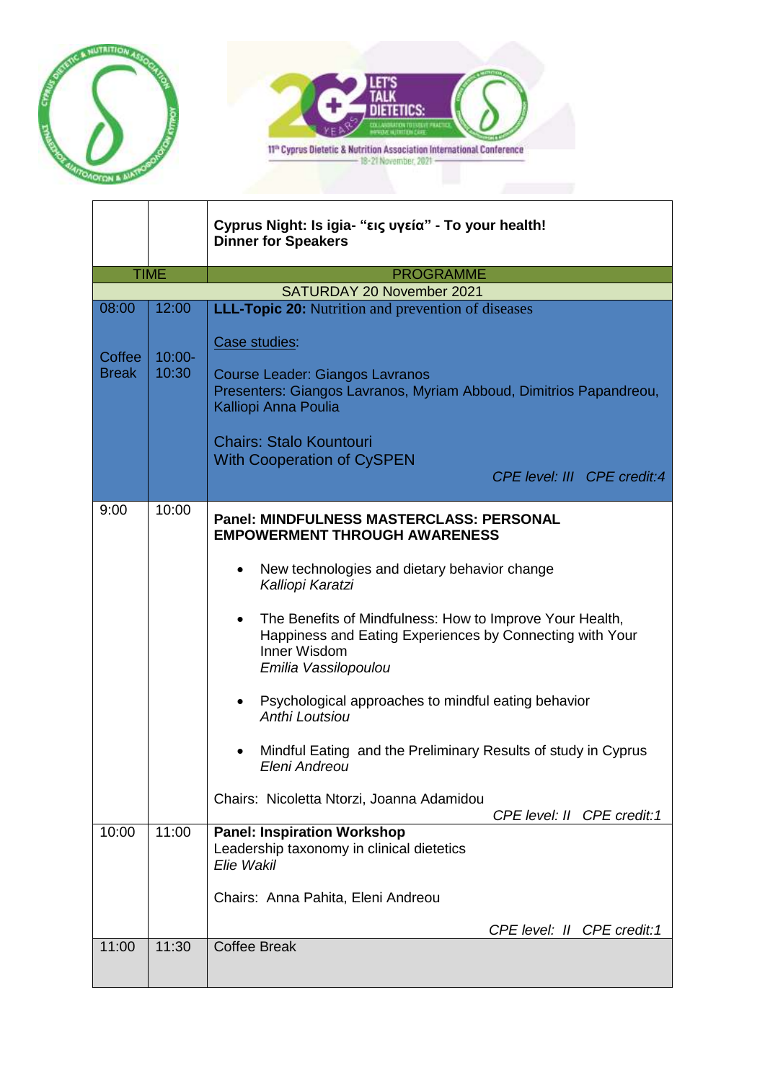



|                        |                    | Cyprus Night: Is igia- "εις υγεία" - To your health!<br><b>Dinner for Speakers</b>                                                                                                                                                                                                                                                                                                                                                                                                                                                                                                    |
|------------------------|--------------------|---------------------------------------------------------------------------------------------------------------------------------------------------------------------------------------------------------------------------------------------------------------------------------------------------------------------------------------------------------------------------------------------------------------------------------------------------------------------------------------------------------------------------------------------------------------------------------------|
|                        | <b>TIME</b>        | <b>PROGRAMME</b>                                                                                                                                                                                                                                                                                                                                                                                                                                                                                                                                                                      |
|                        |                    | SATURDAY 20 November 2021                                                                                                                                                                                                                                                                                                                                                                                                                                                                                                                                                             |
| 08:00                  | 12:00              | <b>LLL-Topic 20:</b> Nutrition and prevention of diseases                                                                                                                                                                                                                                                                                                                                                                                                                                                                                                                             |
| Coffee<br><b>Break</b> | $10:00 -$<br>10:30 | Case studies:                                                                                                                                                                                                                                                                                                                                                                                                                                                                                                                                                                         |
|                        |                    | <b>Course Leader: Giangos Lavranos</b><br>Presenters: Giangos Lavranos, Myriam Abboud, Dimitrios Papandreou,<br>Kalliopi Anna Poulia                                                                                                                                                                                                                                                                                                                                                                                                                                                  |
|                        |                    | <b>Chairs: Stalo Kountouri</b><br><b>With Cooperation of CySPEN</b>                                                                                                                                                                                                                                                                                                                                                                                                                                                                                                                   |
|                        |                    | CPE level: III CPE credit:4                                                                                                                                                                                                                                                                                                                                                                                                                                                                                                                                                           |
| 9:00                   | 10:00              | <b>Panel: MINDFULNESS MASTERCLASS: PERSONAL</b><br><b>EMPOWERMENT THROUGH AWARENESS</b><br>New technologies and dietary behavior change<br>Kalliopi Karatzi<br>The Benefits of Mindfulness: How to Improve Your Health,<br>$\bullet$<br>Happiness and Eating Experiences by Connecting with Your<br>Inner Wisdom<br>Emilia Vassilopoulou<br>Psychological approaches to mindful eating behavior<br><b>Anthi Loutsiou</b><br>Mindful Eating and the Preliminary Results of study in Cyprus<br>Eleni Andreou<br>Chairs: Nicoletta Ntorzi, Joanna Adamidou<br>CPE level: II CPE credit:1 |
| 10:00                  | 11:00              | <b>Panel: Inspiration Workshop</b><br>Leadership taxonomy in clinical dietetics<br>Elie Wakil<br>Chairs: Anna Pahita, Eleni Andreou<br>CPE level: II CPE credit:1                                                                                                                                                                                                                                                                                                                                                                                                                     |
| 11:00                  | 11:30              | <b>Coffee Break</b>                                                                                                                                                                                                                                                                                                                                                                                                                                                                                                                                                                   |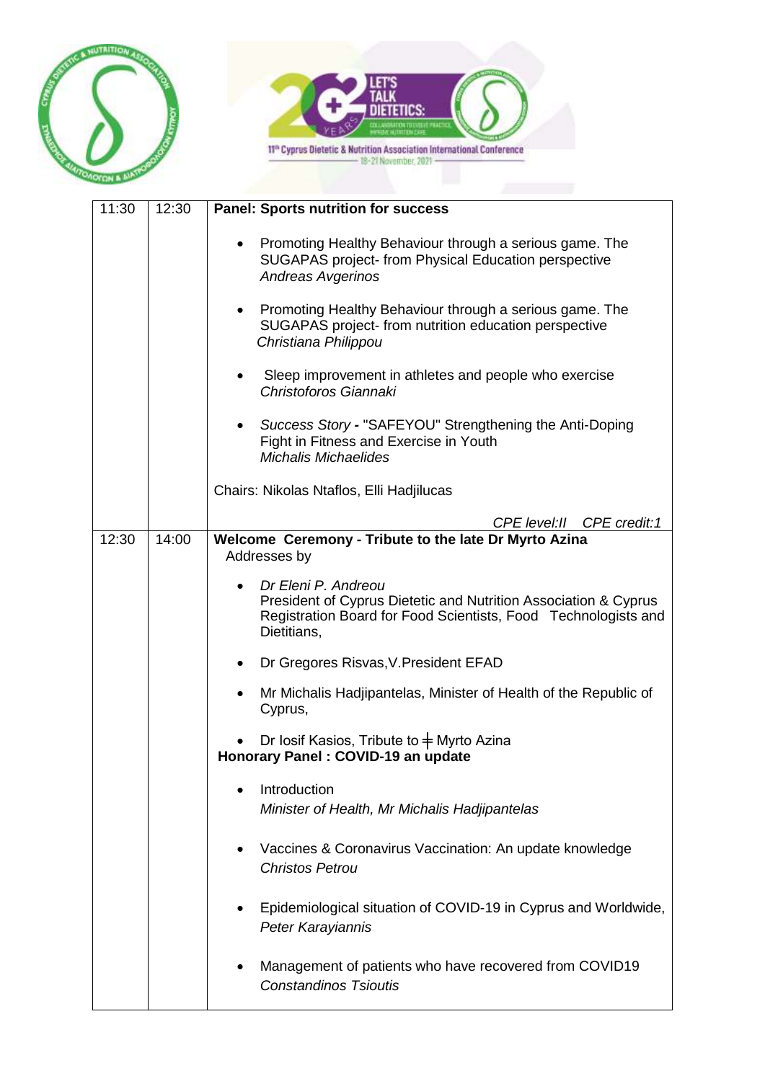



| 11:30 | 12:30 | <b>Panel: Sports nutrition for success</b>                                                                                                                              |
|-------|-------|-------------------------------------------------------------------------------------------------------------------------------------------------------------------------|
|       |       | Promoting Healthy Behaviour through a serious game. The<br>SUGAPAS project- from Physical Education perspective<br><b>Andreas Avgerinos</b>                             |
|       |       | Promoting Healthy Behaviour through a serious game. The<br>SUGAPAS project- from nutrition education perspective<br>Christiana Philippou                                |
|       |       | Sleep improvement in athletes and people who exercise<br>Christoforos Giannaki                                                                                          |
|       |       | Success Story - "SAFEYOU" Strengthening the Anti-Doping<br>Fight in Fitness and Exercise in Youth<br><b>Michalis Michaelides</b>                                        |
|       |       | Chairs: Nikolas Ntaflos, Elli Hadjilucas                                                                                                                                |
|       |       | CPE level: II CPE credit: 1                                                                                                                                             |
| 12:30 | 14:00 | Welcome Ceremony - Tribute to the late Dr Myrto Azina<br>Addresses by                                                                                                   |
|       |       | Dr Eleni P. Andreou<br>President of Cyprus Dietetic and Nutrition Association & Cyprus<br>Registration Board for Food Scientists, Food Technologists and<br>Dietitians, |
|       |       | Dr Gregores Risvas, V. President EFAD                                                                                                                                   |
|       |       | Mr Michalis Hadjipantelas, Minister of Health of the Republic of<br>Cyprus,                                                                                             |
|       |       | Dr Iosif Kasios, Tribute to $\pm$ Myrto Azina<br>Honorary Panel: COVID-19 an update                                                                                     |
|       |       | Introduction<br>Minister of Health, Mr Michalis Hadjipantelas                                                                                                           |
|       |       | Vaccines & Coronavirus Vaccination: An update knowledge<br><b>Christos Petrou</b>                                                                                       |
|       |       | Epidemiological situation of COVID-19 in Cyprus and Worldwide,<br>Peter Karayiannis                                                                                     |
|       |       | Management of patients who have recovered from COVID19<br><b>Constandinos Tsioutis</b>                                                                                  |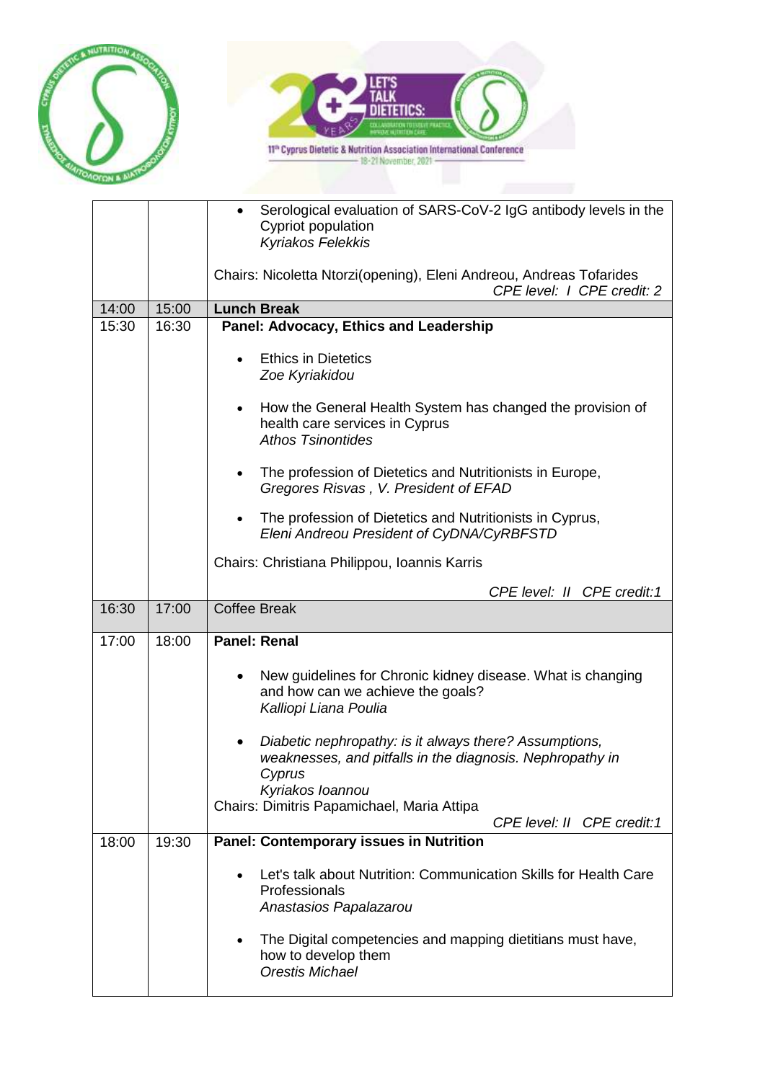



|       |       | Serological evaluation of SARS-CoV-2 IgG antibody levels in the<br>Cypriot population                                            |
|-------|-------|----------------------------------------------------------------------------------------------------------------------------------|
|       |       | Kyriakos Felekkis                                                                                                                |
|       |       | Chairs: Nicoletta Ntorzi(opening), Eleni Andreou, Andreas Tofarides<br>CPE level:   CPE credit: 2                                |
| 14:00 | 15:00 | <b>Lunch Break</b>                                                                                                               |
| 15:30 | 16:30 | Panel: Advocacy, Ethics and Leadership                                                                                           |
|       |       |                                                                                                                                  |
|       |       | <b>Ethics in Dietetics</b>                                                                                                       |
|       |       | Zoe Kyriakidou                                                                                                                   |
|       |       | How the General Health System has changed the provision of                                                                       |
|       |       | health care services in Cyprus                                                                                                   |
|       |       | <b>Athos Tsinontides</b>                                                                                                         |
|       |       |                                                                                                                                  |
|       |       | The profession of Dietetics and Nutritionists in Europe,<br>Gregores Risvas, V. President of EFAD                                |
|       |       | The profession of Dietetics and Nutritionists in Cyprus,                                                                         |
|       |       | Eleni Andreou President of CyDNA/CyRBFSTD                                                                                        |
|       |       | Chairs: Christiana Philippou, Ioannis Karris                                                                                     |
|       |       | CPE level: II CPE credit:1                                                                                                       |
| 16:30 | 17:00 | <b>Coffee Break</b>                                                                                                              |
| 17:00 | 18:00 | <b>Panel: Renal</b>                                                                                                              |
|       |       | New guidelines for Chronic kidney disease. What is changing<br>and how can we achieve the goals?<br>Kalliopi Liana Poulia        |
|       |       | Diabetic nephropathy: is it always there? Assumptions,<br>$\bullet$<br>weaknesses, and pitfalls in the diagnosis. Nephropathy in |
|       |       | Cyprus                                                                                                                           |
|       |       | Kyriakos Ioannou                                                                                                                 |
|       |       | Chairs: Dimitris Papamichael, Maria Attipa                                                                                       |
|       |       | CPE level: II CPE credit: 1                                                                                                      |
| 18:00 | 19:30 | <b>Panel: Contemporary issues in Nutrition</b>                                                                                   |
|       |       | Let's talk about Nutrition: Communication Skills for Health Care                                                                 |
|       |       | Professionals                                                                                                                    |
|       |       | Anastasios Papalazarou                                                                                                           |
|       |       |                                                                                                                                  |
|       |       | The Digital competencies and mapping dietitians must have,<br>how to develop them<br><b>Orestis Michael</b>                      |
|       |       |                                                                                                                                  |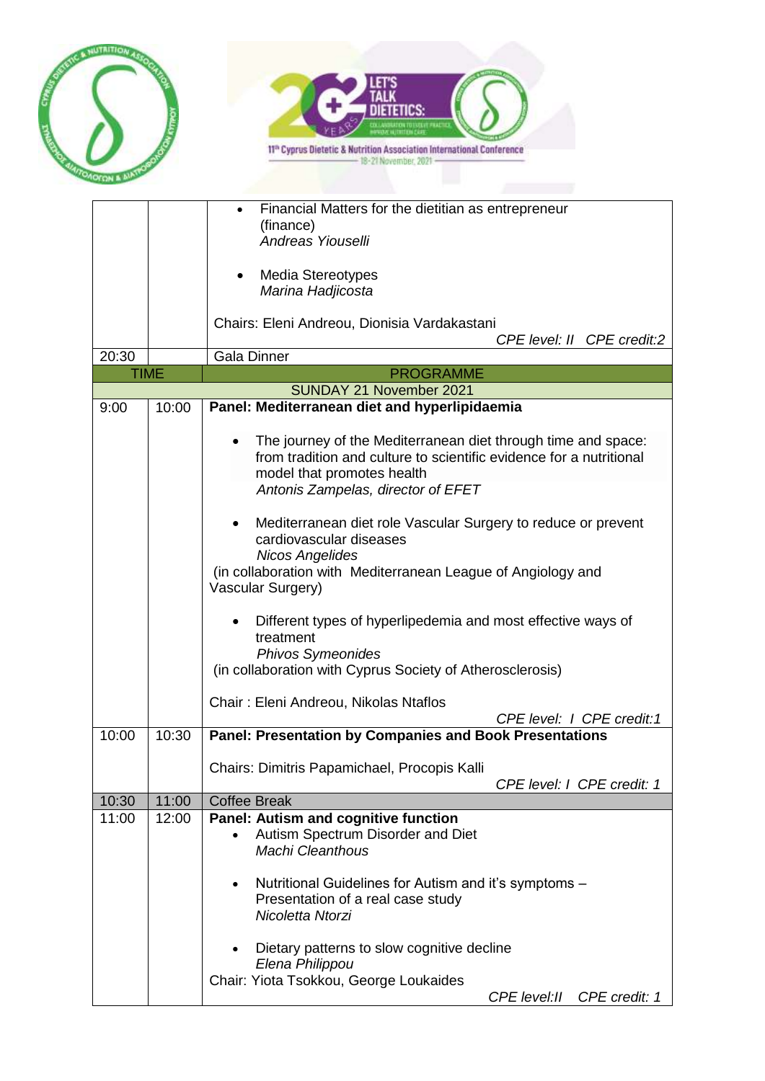



| 20:30 |             | Financial Matters for the dietitian as entrepreneur<br>(finance)<br>Andreas Yiouselli<br><b>Media Stereotypes</b><br>٠<br>Marina Hadjicosta<br>Chairs: Eleni Andreou, Dionisia Vardakastani<br>CPE level: II CPE credit:2<br><b>Gala Dinner</b>                                                                                                                                                                                                                                                                                                                                                                                                              |
|-------|-------------|--------------------------------------------------------------------------------------------------------------------------------------------------------------------------------------------------------------------------------------------------------------------------------------------------------------------------------------------------------------------------------------------------------------------------------------------------------------------------------------------------------------------------------------------------------------------------------------------------------------------------------------------------------------|
|       | <b>TIME</b> | <b>PROGRAMME</b>                                                                                                                                                                                                                                                                                                                                                                                                                                                                                                                                                                                                                                             |
|       |             | SUNDAY 21 November 2021                                                                                                                                                                                                                                                                                                                                                                                                                                                                                                                                                                                                                                      |
| 9:00  | 10:00       | Panel: Mediterranean diet and hyperlipidaemia                                                                                                                                                                                                                                                                                                                                                                                                                                                                                                                                                                                                                |
|       |             | The journey of the Mediterranean diet through time and space:<br>$\bullet$<br>from tradition and culture to scientific evidence for a nutritional<br>model that promotes health<br>Antonis Zampelas, director of EFET<br>Mediterranean diet role Vascular Surgery to reduce or prevent<br>$\bullet$<br>cardiovascular diseases<br><b>Nicos Angelides</b><br>(in collaboration with Mediterranean League of Angiology and<br>Vascular Surgery)<br>Different types of hyperlipedemia and most effective ways of<br>treatment<br><b>Phivos Symeonides</b><br>(in collaboration with Cyprus Society of Atherosclerosis)<br>Chair: Eleni Andreou, Nikolas Ntaflos |
| 10:00 | 10:30       | CPE level: I CPE credit:1<br><b>Panel: Presentation by Companies and Book Presentations</b>                                                                                                                                                                                                                                                                                                                                                                                                                                                                                                                                                                  |
|       |             | Chairs: Dimitris Papamichael, Procopis Kalli<br>CPE level: I CPE credit: 1                                                                                                                                                                                                                                                                                                                                                                                                                                                                                                                                                                                   |
| 10:30 | 11:00       | <b>Coffee Break</b>                                                                                                                                                                                                                                                                                                                                                                                                                                                                                                                                                                                                                                          |
| 11:00 | 12:00       | Panel: Autism and cognitive function<br>Autism Spectrum Disorder and Diet<br><b>Machi Cleanthous</b><br>Nutritional Guidelines for Autism and it's symptoms -<br>$\bullet$<br>Presentation of a real case study<br>Nicoletta Ntorzi<br>Dietary patterns to slow cognitive decline<br>Elena Philippou<br>Chair: Yiota Tsokkou, George Loukaides<br>CPE level: II<br>CPE credit: 1                                                                                                                                                                                                                                                                             |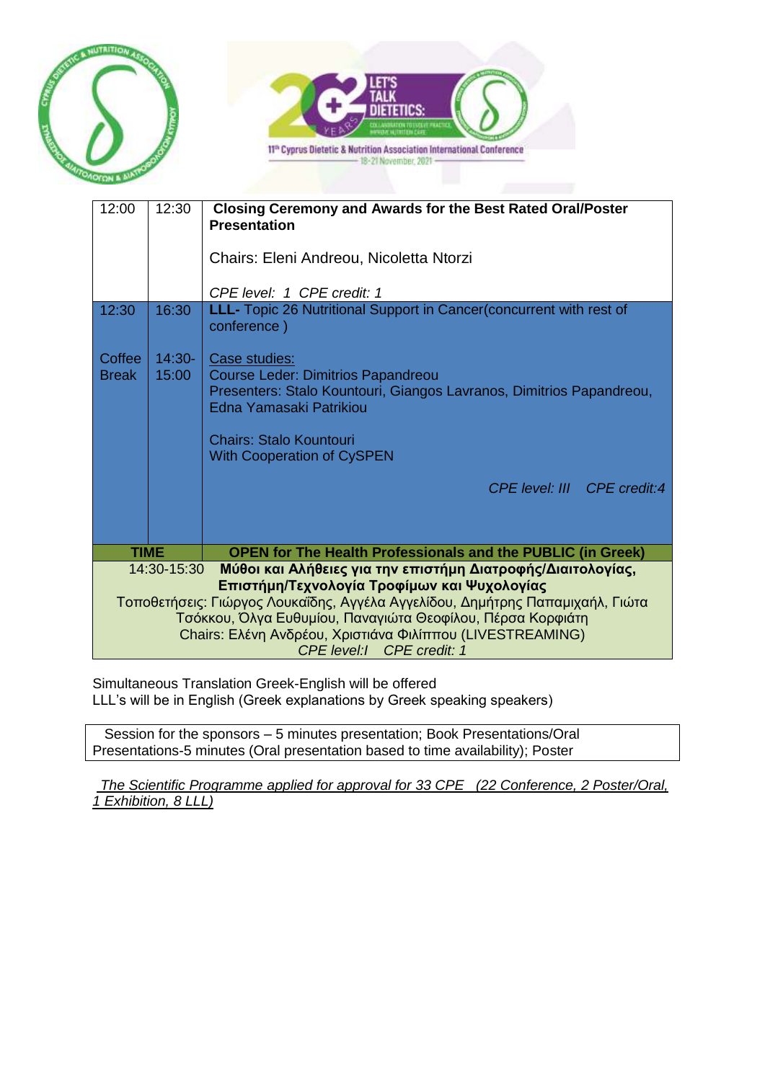



| 12:00                                                                                                                                                                                                                                                                                                                                                              | 12:30             | Closing Ceremony and Awards for the Best Rated Oral/Poster<br><b>Presentation</b>                                                                                                        |
|--------------------------------------------------------------------------------------------------------------------------------------------------------------------------------------------------------------------------------------------------------------------------------------------------------------------------------------------------------------------|-------------------|------------------------------------------------------------------------------------------------------------------------------------------------------------------------------------------|
|                                                                                                                                                                                                                                                                                                                                                                    |                   | Chairs: Eleni Andreou, Nicoletta Ntorzi                                                                                                                                                  |
|                                                                                                                                                                                                                                                                                                                                                                    |                   | CPE level: 1 CPE credit: 1                                                                                                                                                               |
| 12:30                                                                                                                                                                                                                                                                                                                                                              | 16:30             | LLL- Topic 26 Nutritional Support in Cancer(concurrent with rest of<br>conference)                                                                                                       |
| Coffee<br><b>Break</b>                                                                                                                                                                                                                                                                                                                                             | $14:30-$<br>15:00 | Case studies:<br>Course Leder: Dimitrios Papandreou<br>Presenters: Stalo Kountouri, Giangos Lavranos, Dimitrios Papandreou,<br>Edna Yamasaki Patrikiou<br><b>Chairs: Stalo Kountouri</b> |
|                                                                                                                                                                                                                                                                                                                                                                    |                   | <b>With Cooperation of CySPEN</b>                                                                                                                                                        |
|                                                                                                                                                                                                                                                                                                                                                                    |                   | CPF level: III CPF credit:4                                                                                                                                                              |
|                                                                                                                                                                                                                                                                                                                                                                    |                   |                                                                                                                                                                                          |
| <b>TIME</b>                                                                                                                                                                                                                                                                                                                                                        |                   | <b>OPEN for The Health Professionals and the PUBLIC (in Greek)</b>                                                                                                                       |
| Μύθοι και Αλήθειες για την επιστήμη Διατροφής/Διαιτολογίας,<br>14:30-15:30<br>Επιστήμη/Τεχνολογία Τροφίμων και Ψυχολογίας<br>Τοποθετήσεις: Γιώργος Λουκαΐδης, Αγγέλα Αγγελίδου, Δημήτρης Παπαμιχαήλ, Γιώτα<br>Τσόκκου, Όλγα Ευθυμίου, Παναγιώτα Θεοφίλου, Πέρσα Κορφιάτη<br>Chairs: Ελένη Ανδρέου, Χριστιάνα Φιλίππου (LIVESTREAMING)<br>CPE level:1 CPE credit: 1 |                   |                                                                                                                                                                                          |

Simultaneous Translation Greek-English will be offered LLL's will be in English (Greek explanations by Greek speaking speakers)

 Session for the sponsors – 5 minutes presentation; Book Presentations/Oral Presentations-5 minutes (Oral presentation based to time availability); Poster

*The Scientific Programme applied for approval for 33 CPE (22 Conference, 2 Poster/Oral, 1 Exhibition, 8 LLL)*